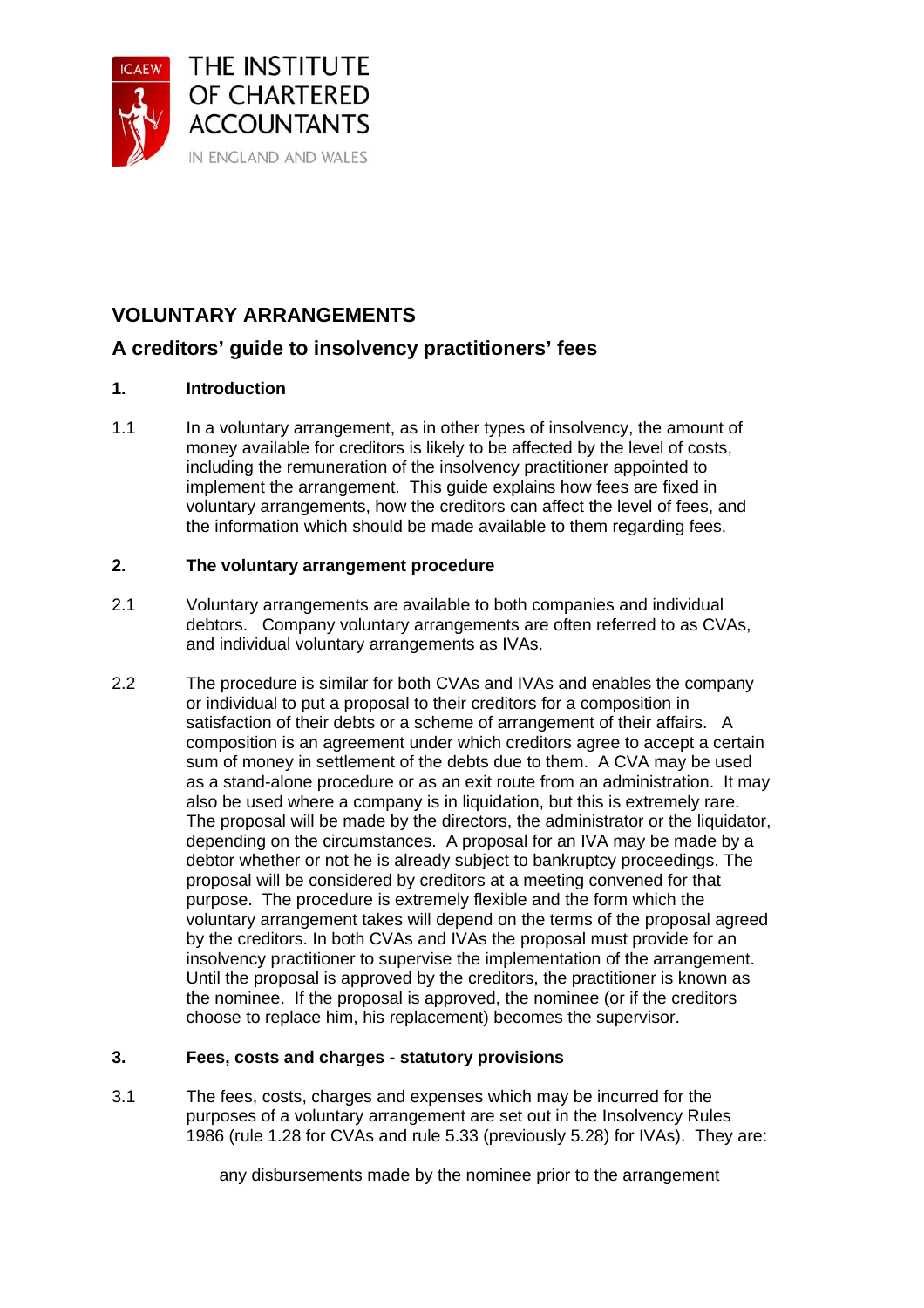

# **VOLUNTARY ARRANGEMENTS**

## **A creditors' guide to insolvency practitioners' fees**

## **1. Introduction**

1.1 In a voluntary arrangement, as in other types of insolvency, the amount of money available for creditors is likely to be affected by the level of costs, including the remuneration of the insolvency practitioner appointed to implement the arrangement. This guide explains how fees are fixed in voluntary arrangements, how the creditors can affect the level of fees, and the information which should be made available to them regarding fees.

## **2. The voluntary arrangement procedure**

- 2.1 Voluntary arrangements are available to both companies and individual debtors. Company voluntary arrangements are often referred to as CVAs, and individual voluntary arrangements as IVAs.
- 2.2 The procedure is similar for both CVAs and IVAs and enables the company or individual to put a proposal to their creditors for a composition in satisfaction of their debts or a scheme of arrangement of their affairs. A composition is an agreement under which creditors agree to accept a certain sum of money in settlement of the debts due to them. A CVA may be used as a stand-alone procedure or as an exit route from an administration. It may also be used where a company is in liquidation, but this is extremely rare. The proposal will be made by the directors, the administrator or the liquidator, depending on the circumstances. A proposal for an IVA may be made by a debtor whether or not he is already subject to bankruptcy proceedings. The proposal will be considered by creditors at a meeting convened for that purpose. The procedure is extremely flexible and the form which the voluntary arrangement takes will depend on the terms of the proposal agreed by the creditors. In both CVAs and IVAs the proposal must provide for an insolvency practitioner to supervise the implementation of the arrangement. Until the proposal is approved by the creditors, the practitioner is known as the nominee. If the proposal is approved, the nominee (or if the creditors choose to replace him, his replacement) becomes the supervisor.

### **3. Fees, costs and charges - statutory provisions**

3.1 The fees, costs, charges and expenses which may be incurred for the purposes of a voluntary arrangement are set out in the Insolvency Rules 1986 (rule 1.28 for CVAs and rule 5.33 (previously 5.28) for IVAs). They are:

any disbursements made by the nominee prior to the arrangement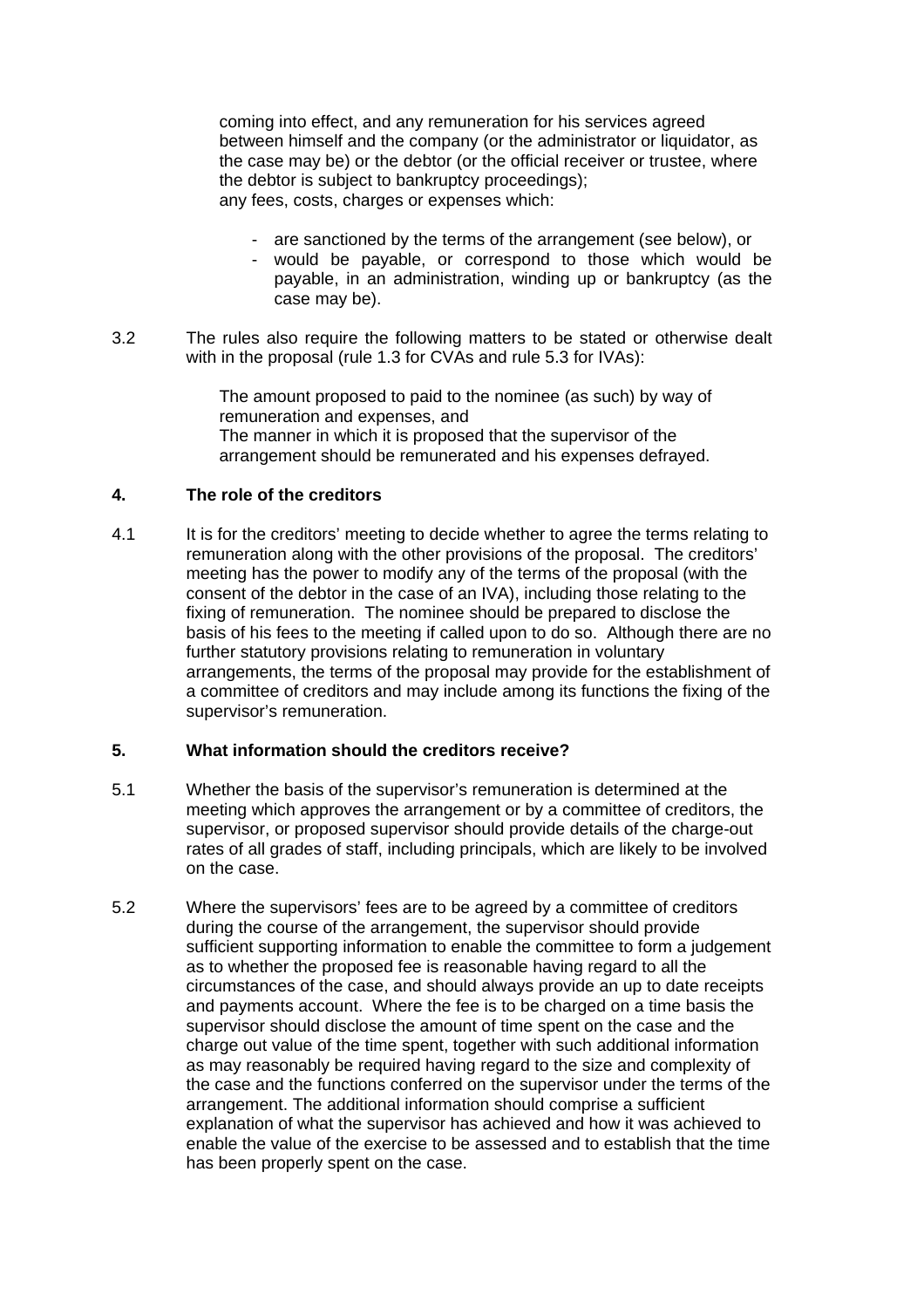coming into effect, and any remuneration for his services agreed between himself and the company (or the administrator or liquidator, as the case may be) or the debtor (or the official receiver or trustee, where the debtor is subject to bankruptcy proceedings); any fees, costs, charges or expenses which:

- are sanctioned by the terms of the arrangement (see below), or
- would be payable, or correspond to those which would be payable, in an administration, winding up or bankruptcy (as the case may be).
- 3.2 The rules also require the following matters to be stated or otherwise dealt with in the proposal (rule 1.3 for CVAs and rule 5.3 for IVAs):

The amount proposed to paid to the nominee (as such) by way of remuneration and expenses, and The manner in which it is proposed that the supervisor of the arrangement should be remunerated and his expenses defrayed.

#### **4. The role of the creditors**

4.1 It is for the creditors' meeting to decide whether to agree the terms relating to remuneration along with the other provisions of the proposal. The creditors' meeting has the power to modify any of the terms of the proposal (with the consent of the debtor in the case of an IVA), including those relating to the fixing of remuneration. The nominee should be prepared to disclose the basis of his fees to the meeting if called upon to do so. Although there are no further statutory provisions relating to remuneration in voluntary arrangements, the terms of the proposal may provide for the establishment of a committee of creditors and may include among its functions the fixing of the supervisor's remuneration.

### **5. What information should the creditors receive?**

- 5.1 Whether the basis of the supervisor's remuneration is determined at the meeting which approves the arrangement or by a committee of creditors, the supervisor, or proposed supervisor should provide details of the charge-out rates of all grades of staff, including principals, which are likely to be involved on the case.
- 5.2 Where the supervisors' fees are to be agreed by a committee of creditors during the course of the arrangement, the supervisor should provide sufficient supporting information to enable the committee to form a judgement as to whether the proposed fee is reasonable having regard to all the circumstances of the case, and should always provide an up to date receipts and payments account. Where the fee is to be charged on a time basis the supervisor should disclose the amount of time spent on the case and the charge out value of the time spent, together with such additional information as may reasonably be required having regard to the size and complexity of the case and the functions conferred on the supervisor under the terms of the arrangement. The additional information should comprise a sufficient explanation of what the supervisor has achieved and how it was achieved to enable the value of the exercise to be assessed and to establish that the time has been properly spent on the case.